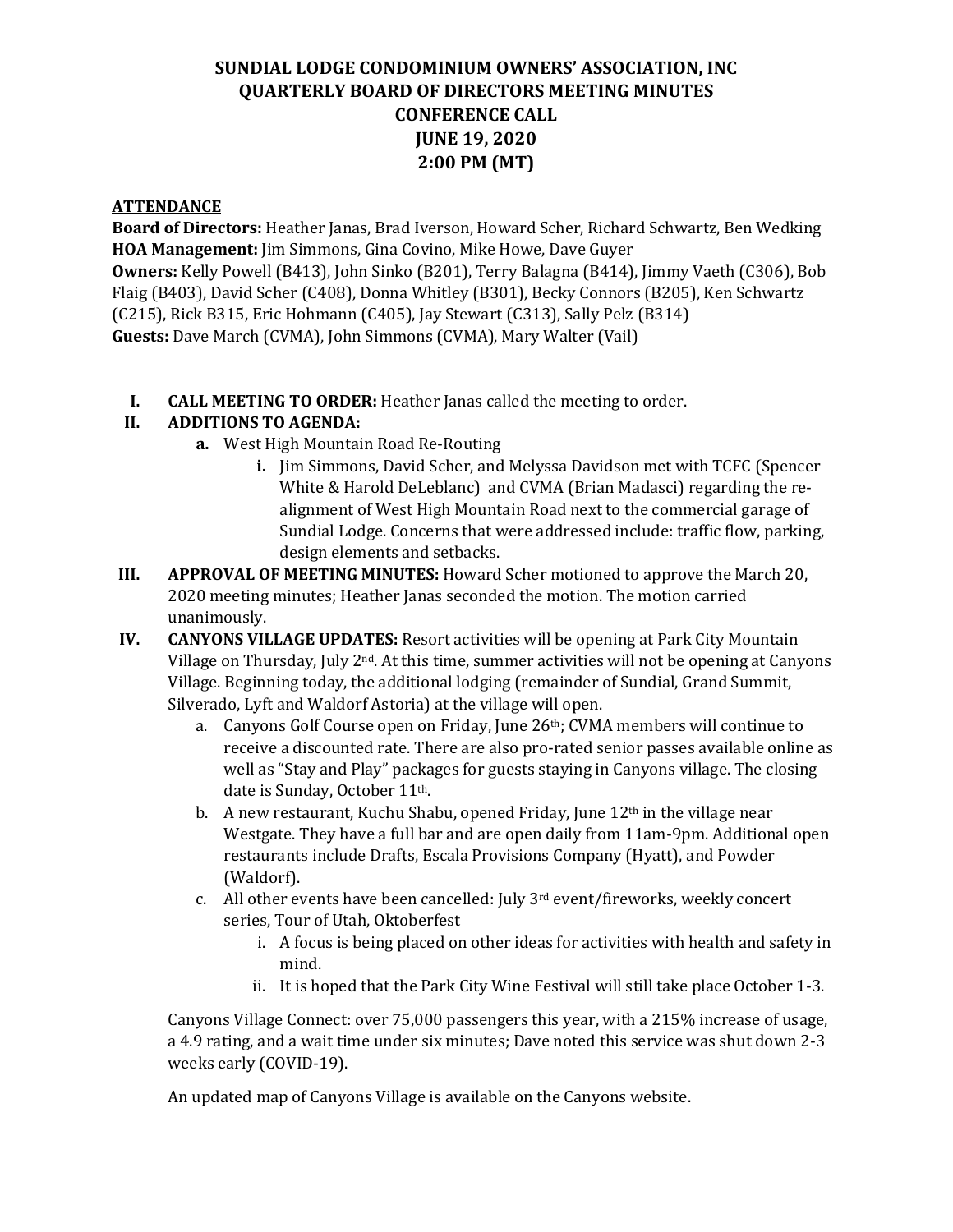## **SUNDIAL LODGE CONDOMINIUM OWNERS' ASSOCIATION, INC QUARTERLY BOARD OF DIRECTORS MEETING MINUTES CONFERENCE CALL JUNE 19, 2020 2:00 PM (MT)**

#### **ATTENDANCE**

**Board of Directors:** Heather Janas, Brad Iverson, Howard Scher, Richard Schwartz, Ben Wedking **HOA Management:** Jim Simmons, Gina Covino, Mike Howe, Dave Guyer **Owners:** Kelly Powell (B413), John Sinko (B201), Terry Balagna (B414), Jimmy Vaeth (C306), Bob Flaig (B403), David Scher (C408), Donna Whitley (B301), Becky Connors (B205), Ken Schwartz (C215), Rick B315, Eric Hohmann (C405), Jay Stewart (C313), Sally Pelz (B314) **Guests:** Dave March (CVMA), John Simmons (CVMA), Mary Walter (Vail)

**I. CALL MEETING TO ORDER:** Heather Janas called the meeting to order.<br>II. **ADDITIONS TO AGENDA:** 

#### **II. ADDITIONS TO AGENDA:**

- **a.** West High Mountain Road Re-Routing
	- **i.** Jim Simmons, David Scher, and Melyssa Davidson met with TCFC (Spencer White & Harold DeLeblanc) and CVMA (Brian Madasci) regarding the realignment of West High Mountain Road next to the commercial garage of Sundial Lodge. Concerns that were addressed include: traffic flow, parking, design elements and setbacks.
- **III. APPROVAL OF MEETING MINUTES:** Howard Scher motioned to approve the March 20, 2020 meeting minutes; Heather Janas seconded the motion. The motion carried unanimously.
- **IV. CANYONS VILLAGE UPDATES:** Resort activities will be opening at Park City Mountain Village on Thursday, July 2nd. At this time, summer activities will not be opening at Canyons Village. Beginning today, the additional lodging (remainder of Sundial, Grand Summit, Silverado, Lyft and Waldorf Astoria) at the village will open.
	- a. Canyons Golf Course open on Friday, June 26th; CVMA members will continue to receive a discounted rate. There are also pro-rated senior passes available online as well as "Stay and Play" packages for guests staying in Canyons village. The closing date is Sunday, October 11th.
	- b. A new restaurant, Kuchu Shabu, opened Friday, June 12<sup>th</sup> in the village near Westgate. They have a full bar and are open daily from 11am-9pm. Additional open restaurants include Drafts, Escala Provisions Company (Hyatt), and Powder (Waldorf).
	- c. All other events have been cancelled: July 3rd event/fireworks, weekly concert series, Tour of Utah, Oktoberfest
		- i. A focus is being placed on other ideas for activities with health and safety in mind.
		- ii. It is hoped that the Park City Wine Festival will still take place October 1-3.

Canyons Village Connect: over 75,000 passengers this year, with a 215% increase of usage, a 4.9 rating, and a wait time under six minutes; Dave noted this service was shut down 2-3 weeks early (COVID-19).

An updated map of Canyons Village is available on the Canyons website.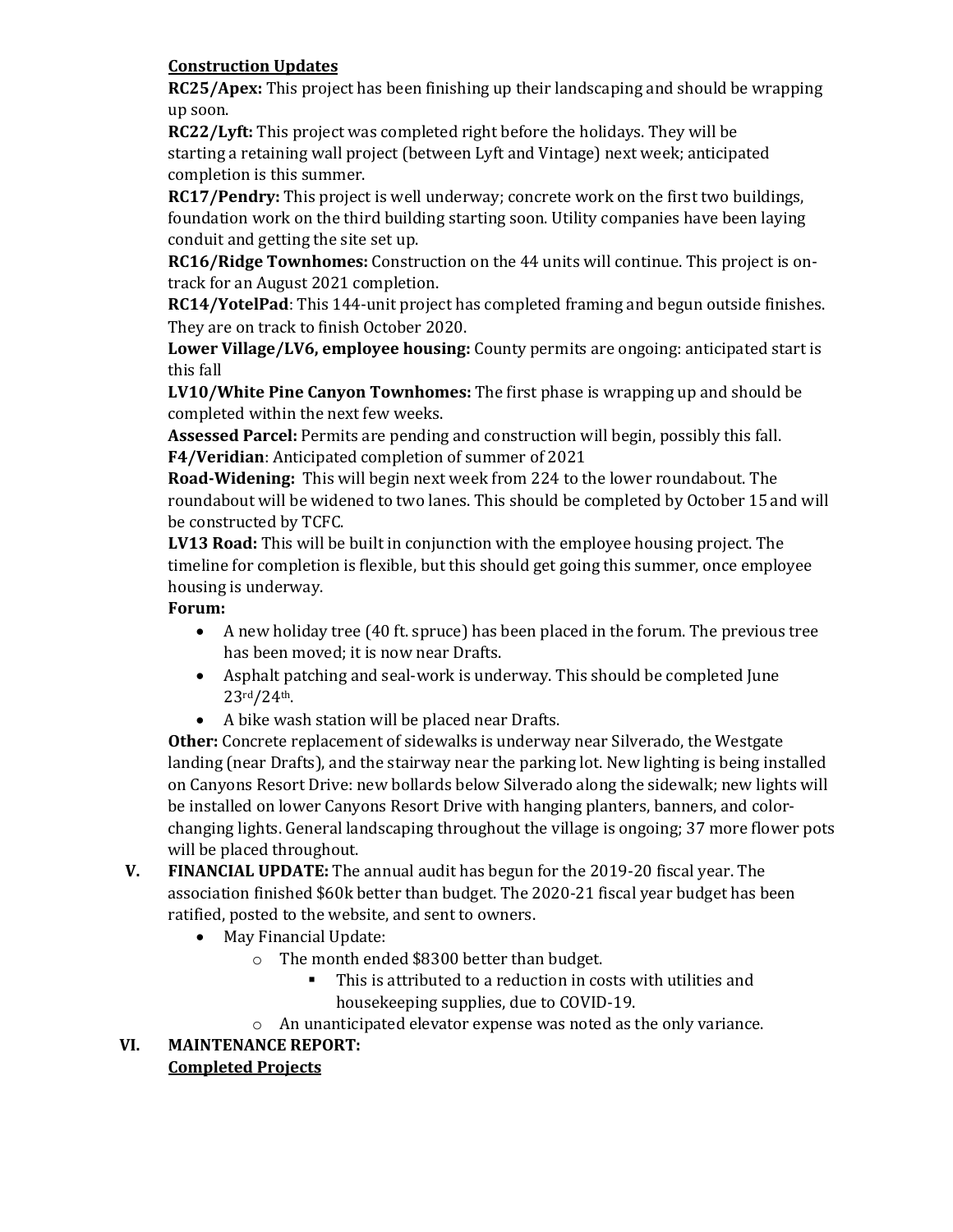#### **Construction Updates**

**RC25/Apex:** This project has been finishing up their landscaping and should be wrapping up soon.

**RC22/Lyft:** This project was completed right before the holidays. They will be starting a retaining wall project (between Lyft and Vintage) next week; anticipated completion is this summer.

**RC17/Pendry:** This project is well underway; concrete work on the first two buildings, foundation work on the third building starting soon. Utility companies have been laying conduit and getting the site set up.

**RC16/Ridge Townhomes:** Construction on the 44 units will continue. This project is ontrack for an August 2021 completion.

**RC14/YotelPad**: This 144-unit project has completed framing and begun outside finishes. They are on track to finish October 2020.

**Lower Village/LV6, employee housing:** County permits are ongoing: anticipated start is this fall

**LV10/White Pine Canyon Townhomes:** The first phase is wrapping up and should be completed within the next few weeks.

**Assessed Parcel:** Permits are pending and construction will begin, possibly this fall. **F4/Veridian**: Anticipated completion of summer of 2021

**Road-Widening:** This will begin next week from 224 to the lower roundabout. The roundabout will be widened to two lanes. This should be completed by October 15 and will be constructed by TCFC.

**LV13 Road:** This will be built in conjunction with the employee housing project. The timeline for completion is flexible, but this should get going this summer, once employee housing is underway.

#### **Forum:**

- A new holiday tree (40 ft. spruce) has been placed in the forum. The previous tree has been moved; it is now near Drafts.
- Asphalt patching and seal-work is underway. This should be completed June 23rd/24th.
- A bike wash station will be placed near Drafts.

**Other:** Concrete replacement of sidewalks is underway near Silverado, the Westgate landing (near Drafts), and the stairway near the parking lot. New lighting is being installed on Canyons Resort Drive: new bollards below Silverado along the sidewalk; new lights will be installed on lower Canyons Resort Drive with hanging planters, banners, and colorchanging lights. General landscaping throughout the village is ongoing; 37 more flower pots will be placed throughout.

- **V. FINANCIAL UPDATE:** The annual audit has begun for the 2019-20 fiscal year. The association finished \$60k better than budget. The 2020-21 fiscal year budget has been ratified, posted to the website, and sent to owners.
	- May Financial Update:
		- o The month ended \$8300 better than budget.
			- This is attributed to a reduction in costs with utilities and housekeeping supplies, due to COVID-19.
		- o An unanticipated elevator expense was noted as the only variance.

# **VI. MAINTENANCE REPORT:**

#### **Completed Projects**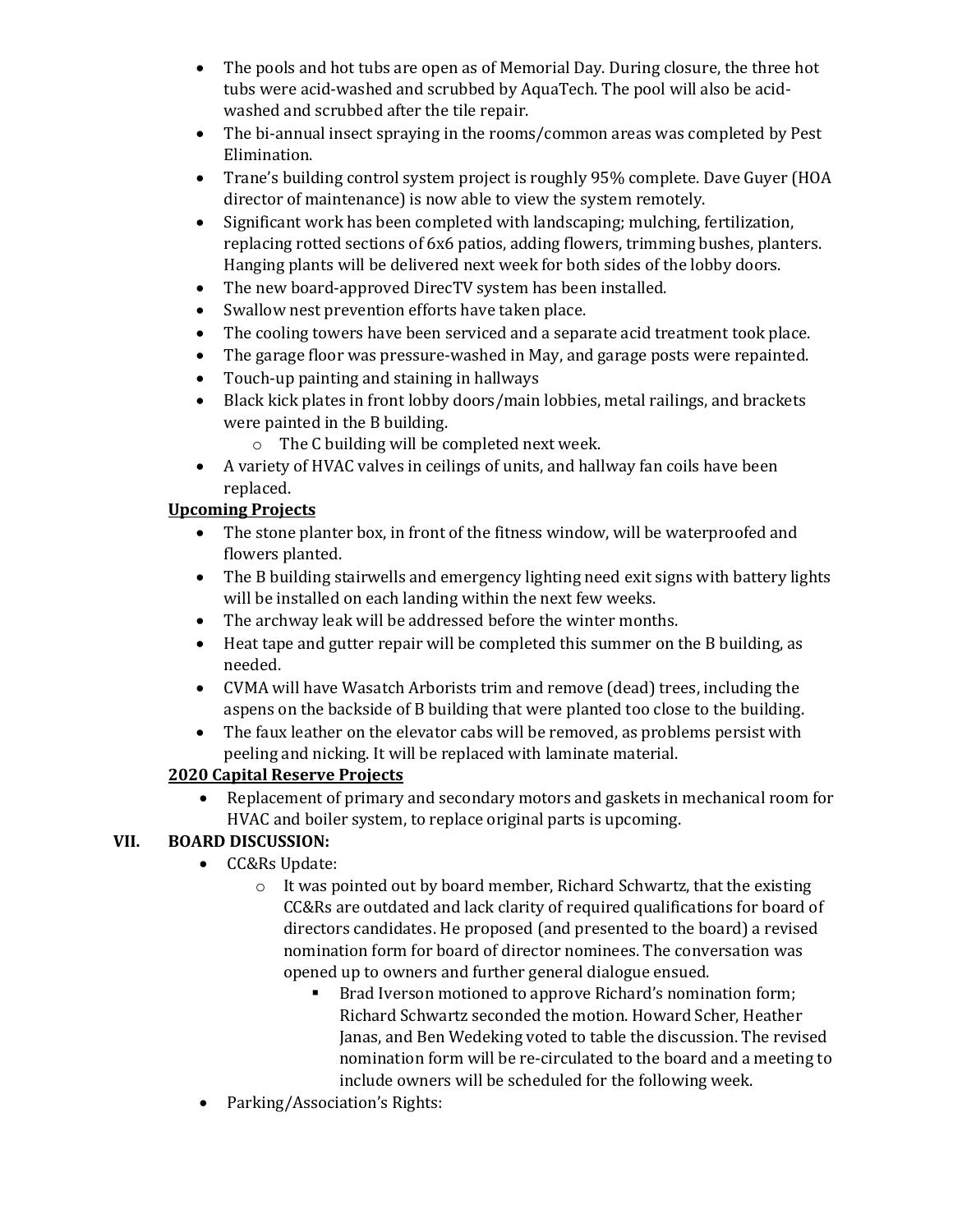- The pools and hot tubs are open as of Memorial Day. During closure, the three hot tubs were acid-washed and scrubbed by AquaTech. The pool will also be acidwashed and scrubbed after the tile repair.
- The bi-annual insect spraying in the rooms/common areas was completed by Pest Elimination.
- Trane's building control system project is roughly 95% complete. Dave Guyer (HOA director of maintenance) is now able to view the system remotely.
- Significant work has been completed with landscaping; mulching, fertilization, replacing rotted sections of 6x6 patios, adding flowers, trimming bushes, planters. Hanging plants will be delivered next week for both sides of the lobby doors.
- The new board-approved DirecTV system has been installed.
- Swallow nest prevention efforts have taken place.
- The cooling towers have been serviced and a separate acid treatment took place.
- The garage floor was pressure-washed in May, and garage posts were repainted.
- Touch-up painting and staining in hallways
- Black kick plates in front lobby doors/main lobbies, metal railings, and brackets were painted in the B building.
	- o The C building will be completed next week.
- A variety of HVAC valves in ceilings of units, and hallway fan coils have been replaced.

### **Upcoming Projects**

- The stone planter box, in front of the fitness window, will be waterproofed and flowers planted.
- The B building stairwells and emergency lighting need exit signs with battery lights will be installed on each landing within the next few weeks.
- 
- The archway leak will be addressed before the winter months.<br>• Heat tape and gutter repair will be completed this summer on t • Heat tape and gutter repair will be completed this summer on the B building, as needed.
- CVMA will have Wasatch Arborists trim and remove (dead) trees, including the aspens on the backside of B building that were planted too close to the building.
- The faux leather on the elevator cabs will be removed, as problems persist with peeling and nicking. It will be replaced with laminate material.

## **2020 Capital Reserve Projects**

• Replacement of primary and secondary motors and gaskets in mechanical room for HVAC and boiler system, to replace original parts is upcoming.

## **VII. BOARD DISCUSSION:**

- CC&Rs Update:
	- o It was pointed out by board member, Richard Schwartz, that the existing CC&Rs are outdated and lack clarity of required qualifications for board of directors candidates. He proposed (and presented to the board) a revised nomination form for board of director nominees. The conversation was opened up to owners and further general dialogue ensued.
		- Brad Iverson motioned to approve Richard's nomination form; Richard Schwartz seconded the motion. Howard Scher, Heather Janas, and Ben Wedeking voted to table the discussion. The revised nomination form will be re-circulated to the board and a meeting to include owners will be scheduled for the following week.
- Parking/Association's Rights: